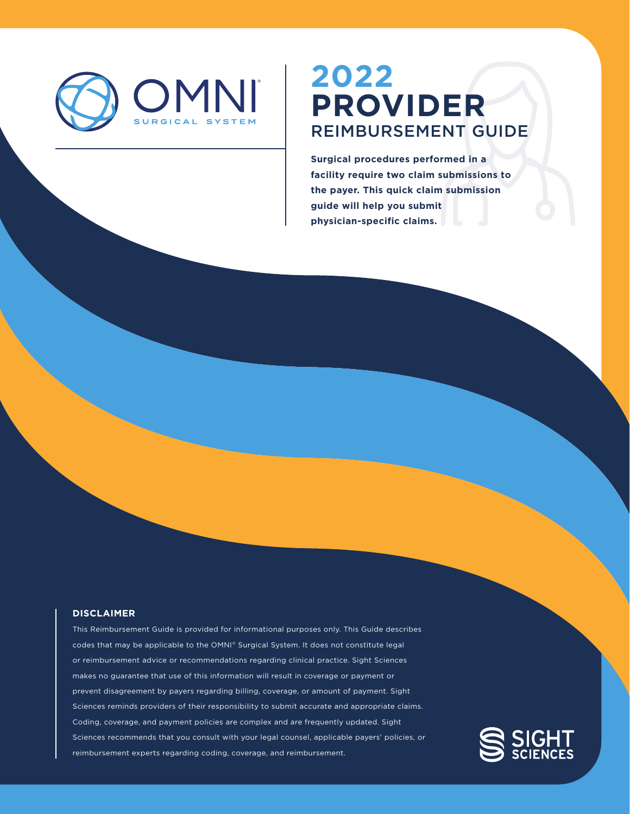

# **PROVIDER** REIMBURSEMENT GUIDE **2022**

**Surgical procedures performed in a facility require two claim submissions to the payer. This quick claim submission guide will help you submit physician-specific claims.** 

#### **DISCLAIMER**

This Reimbursement Guide is provided for informational purposes only. This Guide describes codes that may be applicable to the OMNI® Surgical System. It does not constitute legal or reimbursement advice or recommendations regarding clinical practice. Sight Sciences makes no guarantee that use of this information will result in coverage or payment or prevent disagreement by payers regarding billing, coverage, or amount of payment. Sight Sciences reminds providers of their responsibility to submit accurate and appropriate claims. Coding, coverage, and payment policies are complex and are frequently updated. Sight Sciences recommends that you consult with your legal counsel, applicable payers' policies, or reimbursement experts regarding coding, coverage, and reimbursement.

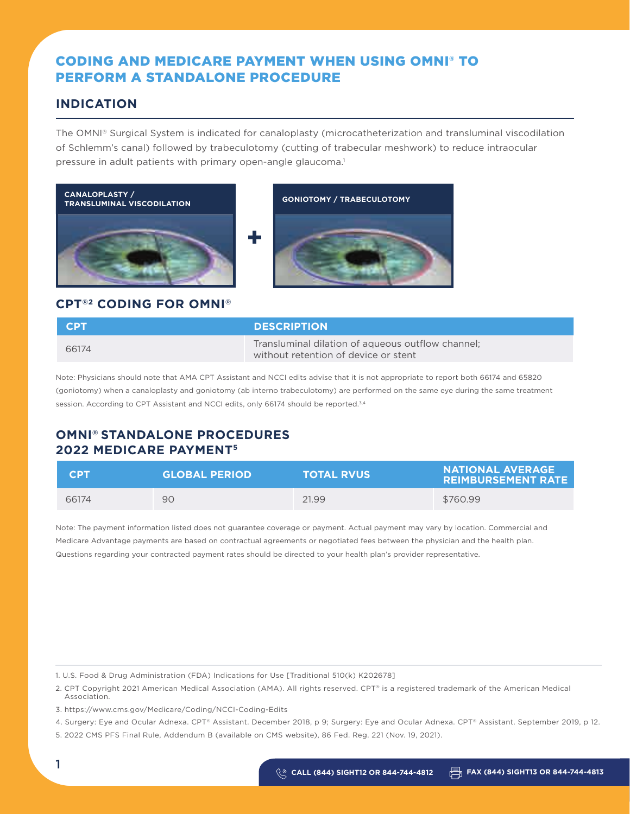### CODING AND MEDICARE PAYMENT WHEN USING OMNI® TO PERFORM A STANDALONE PROCEDURE

### **INDICATION**

The OMNI® Surgical System is indicated for canaloplasty (microcatheterization and transluminal viscodilation of Schlemm's canal) followed by trabeculotomy (cutting of trabecular meshwork) to reduce intraocular pressure in adult patients with primary open-angle glaucoma.<sup>1</sup>





### **CPT®2 CODING FOR OMNI®**

| <b>CPT</b> | <b>DESCRIPTION</b>                                                                        |
|------------|-------------------------------------------------------------------------------------------|
| 66174      | Transluminal dilation of aqueous outflow channel;<br>without retention of device or stent |

Note: Physicians should note that AMA CPT Assistant and NCCI edits advise that it is not appropriate to report both 66174 and 65820 (goniotomy) when a canaloplasty and goniotomy (ab interno trabeculotomy) are performed on the same eye during the same treatment session. According to CPT Assistant and NCCI edits, only 66174 should be reported.<sup>3,4</sup>

### **OMNI® STANDALONE PROCEDURES 2022 MEDICARE PAYMENT5**

| <b>CPT</b> | <b>GLOBAL PERIOD</b> | <b>TOTAL RVUS</b> | NATIONAL AVERAGE<br><b>REIMBURSEMENT RATE</b> |
|------------|----------------------|-------------------|-----------------------------------------------|
| 66174      | 90                   | 21.99             | \$760.99                                      |

Note: The payment information listed does not guarantee coverage or payment. Actual payment may vary by location. Commercial and Medicare Advantage payments are based on contractual agreements or negotiated fees between the physician and the health plan. Questions regarding your contracted payment rates should be directed to your health plan's provider representative.

1. U.S. Food & Drug Administration (FDA) Indications for Use [Traditional 510(k) K202678]

2. CPT Copyright 2021 American Medical Association (AMA). All rights reserved. CPT® is a registered trademark of the American Medical Association.

<sup>3.</sup> https://www.cms.gov/Medicare/Coding/NCCI-Coding-Edits

<sup>4.</sup> Surgery: Eye and Ocular Adnexa. CPT® Assistant. December 2018, p 9; Surgery: Eye and Ocular Adnexa. CPT® Assistant. September 2019, p 12.

<sup>5. 2022</sup> CMS PFS Final Rule, Addendum B (available on CMS website), 86 Fed. Reg. 221 (Nov. 19, 2021).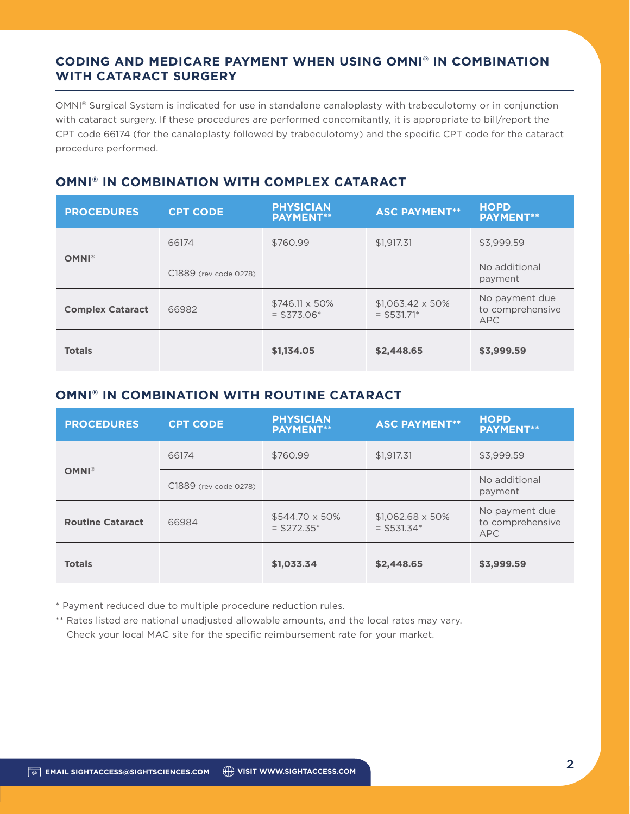### **CODING AND MEDICARE PAYMENT WHEN USING OMNI® IN COMBINATION WITH CATARACT SURGERY**

OMNI® Surgical System is indicated for use in standalone canaloplasty with trabeculotomy or in conjunction with cataract surgery. If these procedures are performed concomitantly, it is appropriate to bill/report the CPT code 66174 (for the canaloplasty followed by trabeculotomy) and the specific CPT code for the cataract procedure performed.

### **OMNI® IN COMBINATION WITH COMPLEX CATARACT**

| <b>PROCEDURES</b>       | <b>CPT CODE</b>       | <b>PHYSICIAN</b><br><b>PAYMENT**</b> | <b>ASC PAYMENT**</b>                     | <b>HOPD</b><br><b>PAYMENT**</b>                  |
|-------------------------|-----------------------|--------------------------------------|------------------------------------------|--------------------------------------------------|
|                         | 66174                 | \$760.99                             | \$1,917.31                               | \$3,999.59                                       |
| <b>OMNI®</b>            | C1889 (rev code 0278) |                                      |                                          | No additional<br>payment                         |
| <b>Complex Cataract</b> | 66982                 | \$746.11 x 50%<br>$=$ \$373.06*      | $$1.063.42 \times 50\%$<br>$=$ \$531.71* | No payment due<br>to comprehensive<br><b>APC</b> |
| <b>Totals</b>           |                       | \$1,134.05                           | \$2,448.65                               | \$3,999.59                                       |

### **OMNI® IN COMBINATION WITH ROUTINE CATARACT**

| <b>PROCEDURES</b>       | <b>CPT CODE</b>       | <b>PHYSICIAN</b><br><b>PAYMENT**</b>   | <b>ASC PAYMENT**</b>                     | <b>HOPD</b><br><b>PAYMENT**</b>                  |
|-------------------------|-----------------------|----------------------------------------|------------------------------------------|--------------------------------------------------|
|                         | 66174                 | \$760.99                               | \$1,917.31                               | \$3,999.59                                       |
| <b>OMNI®</b>            | C1889 (rev code 0278) |                                        |                                          | No additional<br>payment                         |
| <b>Routine Cataract</b> | 66984                 | $$544.70 \times 50\%$<br>$=$ \$272.35* | $$1,062.68 \times 50\%$<br>$=$ \$531.34* | No payment due<br>to comprehensive<br><b>APC</b> |
| <b>Totals</b>           |                       | \$1,033.34                             | \$2,448.65                               | \$3,999.59                                       |

\* Payment reduced due to multiple procedure reduction rules.

\*\* Rates listed are national unadjusted allowable amounts, and the local rates may vary. Check your local MAC site for the specific reimbursement rate for your market.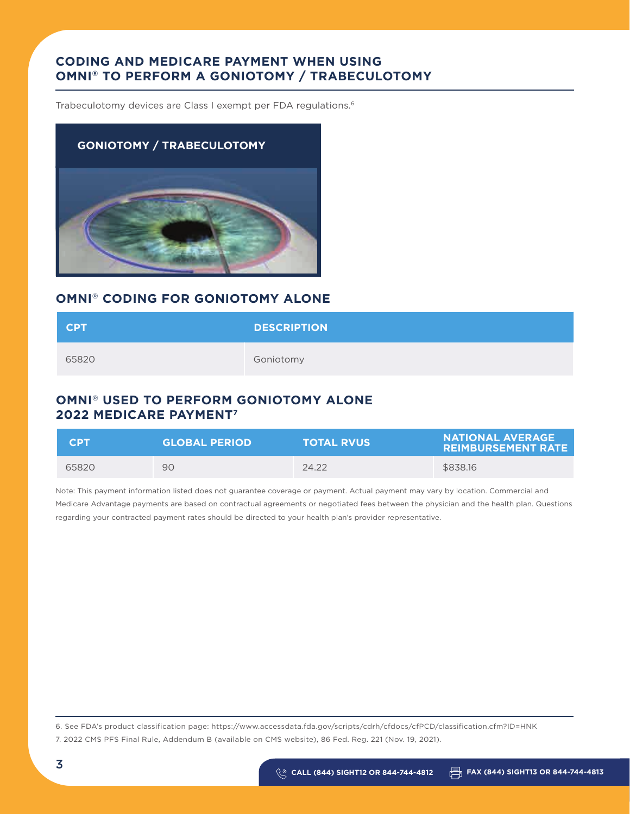### **CODING AND MEDICARE PAYMENT WHEN USING OMNI® TO PERFORM A GONIOTOMY / TRABECULOTOMY**

Trabeculotomy devices are Class I exempt per FDA regulations.6



### **OMNI® CODING FOR GONIOTOMY ALONE**

| <b>CPT</b> | <b>DESCRIPTION</b> |
|------------|--------------------|
| 65820      | Goniotomy          |

### **OMNI® USED TO PERFORM GONIOTOMY ALONE 2022 MEDICARE PAYMENT7**

| <b>CDT</b> | <b>GLOBAL PERIOD</b> | <b>TOTAL RVUS</b> | <b>NATIONAL AVERAGE A</b><br><b>REIMBURSEMENT RATE</b> |
|------------|----------------------|-------------------|--------------------------------------------------------|
| 65820      | 90                   | 24.22             | \$838.16                                               |

Note: This payment information listed does not guarantee coverage or payment. Actual payment may vary by location. Commercial and Medicare Advantage payments are based on contractual agreements or negotiated fees between the physician and the health plan. Questions regarding your contracted payment rates should be directed to your health plan's provider representative.

6. See FDA's product classification page: https://www.accessdata.fda.gov/scripts/cdrh/cfdocs/cfPCD/classification.cfm?ID=HNK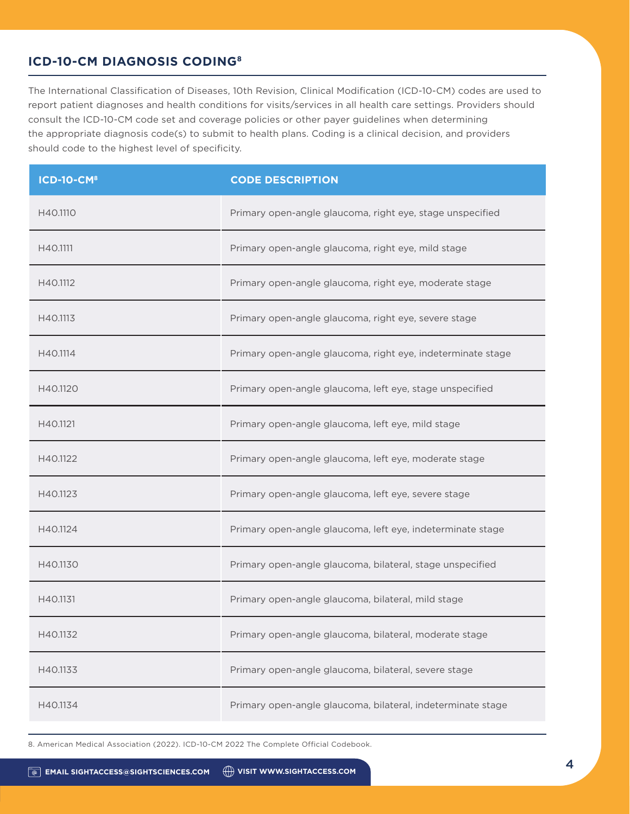### **ICD-10-CM DIAGNOSIS CODING8**

The International Classification of Diseases, 10th Revision, Clinical Modification (ICD-10-CM) codes are used to report patient diagnoses and health conditions for visits/services in all health care settings. Providers should consult the ICD-10-CM code set and coverage policies or other payer guidelines when determining the appropriate diagnosis code(s) to submit to health plans. Coding is a clinical decision, and providers should code to the highest level of specificity.

| <b>ICD-10-CM<sup>8</sup></b> | <b>CODE DESCRIPTION</b>                                     |
|------------------------------|-------------------------------------------------------------|
| H40.1110                     | Primary open-angle glaucoma, right eye, stage unspecified   |
| H40.1111                     | Primary open-angle glaucoma, right eye, mild stage          |
| H40.1112                     | Primary open-angle glaucoma, right eye, moderate stage      |
| H40.1113                     | Primary open-angle glaucoma, right eye, severe stage        |
| H40.1114                     | Primary open-angle glaucoma, right eye, indeterminate stage |
| H40.1120                     | Primary open-angle glaucoma, left eye, stage unspecified    |
| H40.1121                     | Primary open-angle glaucoma, left eye, mild stage           |
| H40.1122                     | Primary open-angle glaucoma, left eye, moderate stage       |
| H40.1123                     | Primary open-angle glaucoma, left eye, severe stage         |
| H40.1124                     | Primary open-angle glaucoma, left eye, indeterminate stage  |
| H40.1130                     | Primary open-angle glaucoma, bilateral, stage unspecified   |
| H40.1131                     | Primary open-angle glaucoma, bilateral, mild stage          |
| H40.1132                     | Primary open-angle glaucoma, bilateral, moderate stage      |
| H40.1133                     | Primary open-angle glaucoma, bilateral, severe stage        |
| H40.1134                     | Primary open-angle glaucoma, bilateral, indeterminate stage |

8. American Medical Association (2022). ICD-10-CM 2022 The Complete Official Codebook.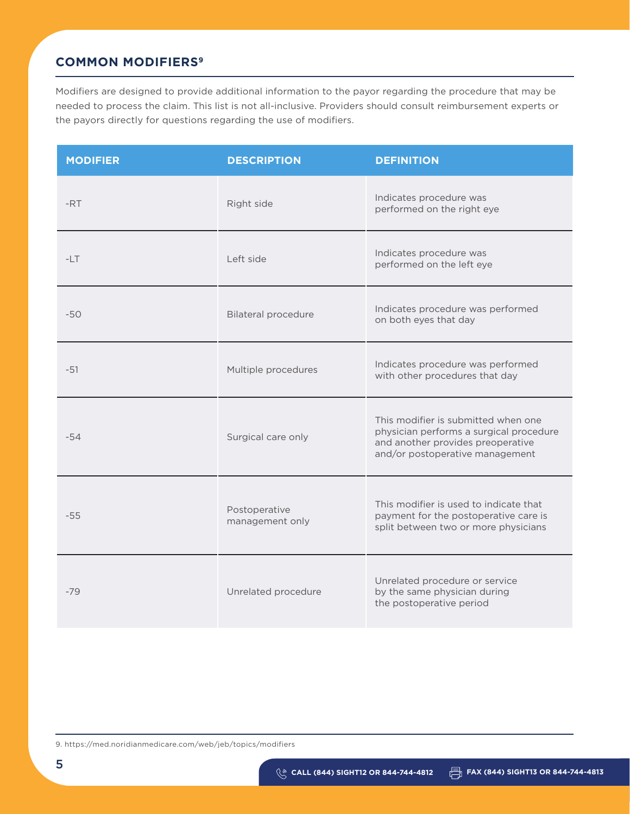### **COMMON MODIFIERS9**

Modifiers are designed to provide additional information to the payor regarding the procedure that may be needed to process the claim. This list is not all-inclusive. Providers should consult reimbursement experts or the payors directly for questions regarding the use of modifiers.

| <b>MODIFIER</b> | <b>DESCRIPTION</b>               | <b>DEFINITION</b>                                                                                                                                      |
|-----------------|----------------------------------|--------------------------------------------------------------------------------------------------------------------------------------------------------|
| -RT             | Right side                       | Indicates procedure was<br>performed on the right eye                                                                                                  |
| $-LT$           | Left side                        | Indicates procedure was<br>performed on the left eye                                                                                                   |
| $-50$           | <b>Bilateral procedure</b>       | Indicates procedure was performed<br>on both eyes that day                                                                                             |
| $-51$           | Multiple procedures              | Indicates procedure was performed<br>with other procedures that day                                                                                    |
| $-54$           | Surgical care only               | This modifier is submitted when one<br>physician performs a surgical procedure<br>and another provides preoperative<br>and/or postoperative management |
| $-55$           | Postoperative<br>management only | This modifier is used to indicate that<br>payment for the postoperative care is<br>split between two or more physicians                                |
| $-79$           | Unrelated procedure              | Unrelated procedure or service<br>by the same physician during<br>the postoperative period                                                             |

9. https://med.noridianmedicare.com/web/jeb/topics/modifiers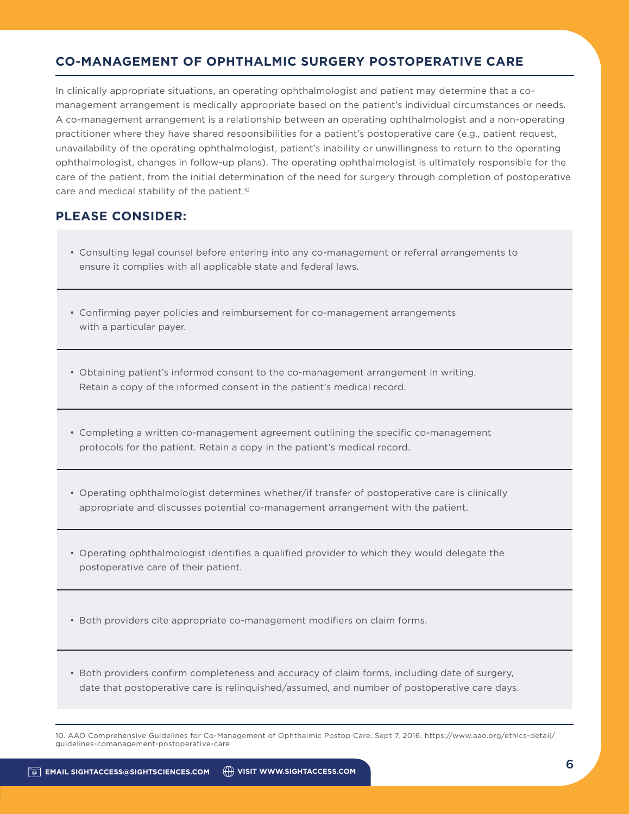### **CO-MANAGEMENT OF OPHTHALMIC SURGERY POSTOPERATIVE CARE**

In clinically appropriate situations, an operating ophthalmologist and patient may determine that a comanagement arrangement is medically appropriate based on the patient's individual circumstances or needs. A co-management arrangement is a relationship between an operating ophthalmologist and a non-operating practitioner where they have shared responsibilities for a patient's postoperative care (e.g., patient request, unavailability of the operating ophthalmologist, patient's inability or unwillingness to return to the operating ophthalmologist, changes in follow-up plans). The operating ophthalmologist is ultimately responsible for the care of the patient, from the initial determination of the need for surgery through completion of postoperative care and medical stability of the patient.<sup>10</sup>

### **PLEASE CONSIDER:**

- Consulting legal counsel before entering into any co-management or referral arrangements to ensure it complies with all applicable state and federal laws.
- Confirming payer policies and reimbursement for co-management arrangements with a particular payer.
- Obtaining patient's informed consent to the co-management arrangement in writing. Retain a copy of the informed consent in the patient's medical record.
- Completing a written co-management agreement outlining the specific co-management protocols for the patient. Retain a copy in the patient's medical record.
- Operating ophthalmologist determines whether/if transfer of postoperative care is clinically appropriate and discusses potential co-management arrangement with the patient.
- Operating ophthalmologist identifies a qualified provider to which they would delegate the postoperative care of their patient.
- Both providers cite appropriate co-management modifiers on claim forms.
- Both providers confirm completeness and accuracy of claim forms, including date of surgery, date that postoperative care is relinquished/assumed, and number of postoperative care days.

10. AAO Comprehensive Guidelines for Co-Management of Ophthalmic Postop Care, Sept 7, 2016. https://www.aao.org/ethics-detail/ guidelines-comanagement-postoperative-care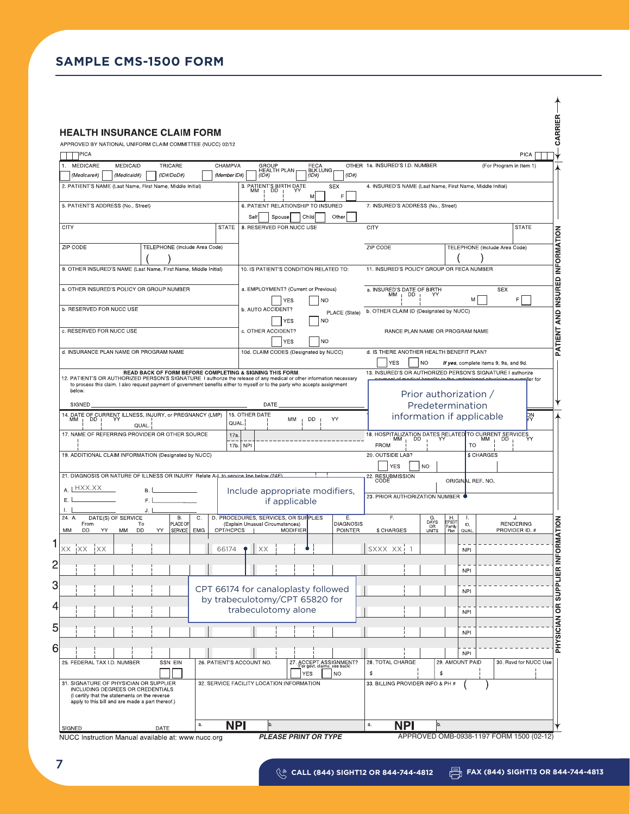### **SAMPLE CMS-1500 FORM**

| APPROVED BY NATIONAL UNIFORM CLAIM COMMITTEE (NUCC) 02/12                                                                                                                                                                                                                                                        |                                                                                                        |                                                                                           |                                                                                                                                       |
|------------------------------------------------------------------------------------------------------------------------------------------------------------------------------------------------------------------------------------------------------------------------------------------------------------------|--------------------------------------------------------------------------------------------------------|-------------------------------------------------------------------------------------------|---------------------------------------------------------------------------------------------------------------------------------------|
| ]PICA                                                                                                                                                                                                                                                                                                            |                                                                                                        |                                                                                           | <b>PICA</b>                                                                                                                           |
| 1. MEDICARE<br>MEDICAID<br>TRICARE<br>CHAMPVA                                                                                                                                                                                                                                                                    | GROUP<br>HEALTH PLAN<br>FECA<br>BLK LUNG                                                               | OTHER 1a. INSURED'S I.D. NUMBER                                                           | (For Program in Item 1)                                                                                                               |
| $(1D\#/DoD\#)$<br>(Member ID#)<br>(Medicare#)<br>(Medicaid#)                                                                                                                                                                                                                                                     | (1D#)<br>(ID#)<br>(ID#)                                                                                |                                                                                           |                                                                                                                                       |
| 2. PATIENT'S NAME (Last Name, First Name, Middle Initial)                                                                                                                                                                                                                                                        | 3. PATIENT'S BIRTH DATE<br>MM   DD   YY<br><b>SEX</b><br>F                                             | 4. INSURED'S NAME (Last Name, First Name, Middle Initial)                                 |                                                                                                                                       |
| 5. PATIENT'S ADDRESS (No., Street)                                                                                                                                                                                                                                                                               | 6. PATIENT RELATIONSHIP TO INSURED<br>Child<br>Other<br>Spouse<br>Self                                 | 7. INSURED'S ADDRESS (No., Street)                                                        |                                                                                                                                       |
| CITY<br><b>STATE</b>                                                                                                                                                                                                                                                                                             | 8. RESERVED FOR NUCC USE                                                                               | CITY                                                                                      | <b>STATE</b>                                                                                                                          |
| ZIP CODE<br>TELEPHONE (Include Area Code)                                                                                                                                                                                                                                                                        |                                                                                                        | ZIP CODE                                                                                  | TELEPHONE (Include Area Code)                                                                                                         |
| 9. OTHER INSURED'S NAME (Last Name, First Name, Middle Initial)                                                                                                                                                                                                                                                  | 10. IS PATIENT'S CONDITION RELATED TO:                                                                 | 11. INSURED'S POLICY GROUP OR FECA NUMBER                                                 |                                                                                                                                       |
|                                                                                                                                                                                                                                                                                                                  |                                                                                                        |                                                                                           |                                                                                                                                       |
| a. OTHER INSURED'S POLICY OR GROUP NUMBER                                                                                                                                                                                                                                                                        | a. EMPLOYMENT? (Current or Previous)<br><b>NO</b><br><b>YES</b>                                        | a. INSURED'S DATE OF BIRTH<br>$MM$ $\Box$ DD                                              | <b>SEX</b><br>M<br>F                                                                                                                  |
| <b>b. RESERVED FOR NUCC USE</b>                                                                                                                                                                                                                                                                                  | b. AUTO ACCIDENT?<br><b>YES</b><br><b>NO</b>                                                           | PLACE (State) b. OTHER CLAIM ID (Designated by NUCC)                                      |                                                                                                                                       |
| c. RESERVED FOR NUCC USE                                                                                                                                                                                                                                                                                         | c. OTHER ACCIDENT?                                                                                     | RANCE PLAN NAME OR PROGRAM NAME                                                           |                                                                                                                                       |
| d. INSURANCE PLAN NAME OR PROGRAM NAME                                                                                                                                                                                                                                                                           | NO<br><b>YES</b><br>10d. CLAIM CODES (Designated by NUCC)                                              | d. IS THERE ANOTHER HEALTH BENEFIT PLAN?                                                  |                                                                                                                                       |
|                                                                                                                                                                                                                                                                                                                  |                                                                                                        | <b>YES</b><br><b>NO</b>                                                                   | If yes, complete items 9, 9a, and 9d.                                                                                                 |
| READ BACK OF FORM BEFORE COMPLETING & SIGNING THIS FORM.<br>12. PATIENT'S OR AUTHORIZED PERSON'S SIGNATURE I authorize the release of any medical or other information necessary<br>to process this claim. I also request payment of government benefits either to myself or to the party who accepts assignment |                                                                                                        |                                                                                           | 13. INSURED'S OR AUTHORIZED PERSON'S SIGNATURE I authorize<br>ant of modical bonofits to the understandd physician or su<br>er forضلط |
| below.                                                                                                                                                                                                                                                                                                           |                                                                                                        |                                                                                           | Prior authorization /                                                                                                                 |
| SIGNED                                                                                                                                                                                                                                                                                                           | DATE<br>15. OTHER DATE                                                                                 |                                                                                           | Predetermination                                                                                                                      |
| 14. DATE OF CURRENT ILLNESS, INJURY, or PREGNANCY (LMP)<br>MM   DD   YY<br>QUAL.                                                                                                                                                                                                                                 | <b>DD</b><br>YY<br>MM<br>QUAL.                                                                         |                                                                                           | <b>DN</b><br>information if applicable                                                                                                |
| 17. NAME OF REFERRING PROVIDER OR OTHER SOURCE                                                                                                                                                                                                                                                                   | 17a<br>17b.<br><b>NPI</b>                                                                              | <b>FROM</b>                                                                               | 18. HOSPITALIZATION DATES RELATED TO CURRENT SERVICES<br>MM MM MD YY MM MM DD YY<br>MM<br><b>TO</b>                                   |
| 19. ADDITIONAL CLAIM INFORMATION (Designated by NUCC)                                                                                                                                                                                                                                                            |                                                                                                        | 20. OUTSIDE LAB?                                                                          | <b>\$ CHARGES</b>                                                                                                                     |
| 21. DIAGNOSIS OR NATURE OF ILLNESS OR INJURY Relate A.L. to service line below (24F).                                                                                                                                                                                                                            |                                                                                                        | <b>NO</b><br><b>YES</b>                                                                   |                                                                                                                                       |
| $A \perp HXXX$ $X \times Y$                                                                                                                                                                                                                                                                                      | Include appropriate modifiers,                                                                         | 22. RESUBMISSION                                                                          | ORIGINAL REF. NO.                                                                                                                     |
| Ε.<br>F.I<br>J. I                                                                                                                                                                                                                                                                                                | if applicable                                                                                          | 23. PRIOR AUTHORIZATION NUMBER                                                            |                                                                                                                                       |
| 24. A.<br>DATE(S) OF SERVICE<br>В.<br>С.<br>PLACE OF<br>From<br>To                                                                                                                                                                                                                                               | D. PROCEDURES, SERVICES, OR SUPPLIES<br>Ε.<br><b>DIAGNOSIS</b><br>(Explain Unusual Circumstances)      | F.<br>$\begin{array}{c} \text{G} \\ \text{DAYS} \\ \text{OR} \\ \text{UNITS} \end{array}$ | H<br>EPSDT<br>Famiy<br>Т.<br>J.<br><b>RENDERING</b><br>ID.                                                                            |
| CPT/HCPCS<br>SERVICE<br><b>EMG</b><br>МM<br>DD.<br>YY<br>MM<br>DD<br>YY                                                                                                                                                                                                                                          | <b>MODIFIER</b><br>POINTER                                                                             | \$ CHARGES                                                                                | Plan<br>PROVIDER ID. #<br>QUAL.                                                                                                       |
| XX IXX<br>!XX<br>66174                                                                                                                                                                                                                                                                                           | XX                                                                                                     | SXXX XX                                                                                   | <b>NPI</b>                                                                                                                            |
|                                                                                                                                                                                                                                                                                                                  |                                                                                                        |                                                                                           | <b>NPI</b>                                                                                                                            |
|                                                                                                                                                                                                                                                                                                                  | CPT 66174 for canaloplasty followed                                                                    |                                                                                           | <b>NPI</b>                                                                                                                            |
|                                                                                                                                                                                                                                                                                                                  | by trabeculotomy/CPT 65820 for<br>trabeculotomy alone                                                  |                                                                                           | <b>NPI</b>                                                                                                                            |
|                                                                                                                                                                                                                                                                                                                  |                                                                                                        |                                                                                           |                                                                                                                                       |
|                                                                                                                                                                                                                                                                                                                  |                                                                                                        |                                                                                           | <b>NPI</b>                                                                                                                            |
|                                                                                                                                                                                                                                                                                                                  |                                                                                                        |                                                                                           | <b>NPI</b>                                                                                                                            |
| 25. FEDERAL TAX I.D. NUMBER<br>SSN EIN                                                                                                                                                                                                                                                                           | 26. PATIENT'S ACCOUNT NO.<br>27. ACCEPT ASSIGNMENT?<br>For govt. claims, see back)<br><b>YES</b><br>NO | 28. TOTAL CHARGE<br>S<br>\$                                                               | 29. AMOUNT PAID<br>30. Rsvd for NUCC Use                                                                                              |
| 31. SIGNATURE OF PHYSICIAN OR SUPPLIER<br>INCLUDING DEGREES OR CREDENTIALS<br>(I certify that the statements on the reverse<br>apply to this bill and are made a part thereof.)                                                                                                                                  | 32. SERVICE FACILITY LOCATION INFORMATION                                                              | 33. BILLING PROVIDER INFO & PH #                                                          |                                                                                                                                       |
|                                                                                                                                                                                                                                                                                                                  |                                                                                                        |                                                                                           |                                                                                                                                       |
| <b>NP</b><br>a.                                                                                                                                                                                                                                                                                                  |                                                                                                        | <b>NPI</b><br>b.<br>a.                                                                    |                                                                                                                                       |

SIGNED<br>NUCC Instruction Manual available at: www.nucc.org

**PLEASE PRINT OR TYPE** APPROVED OMB-0938-1197 FORM 1500 (02-12)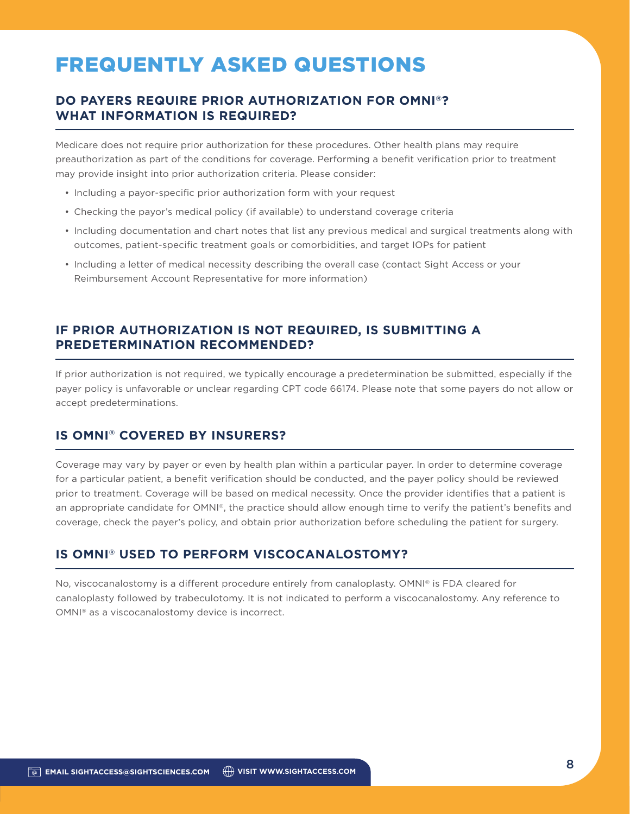# FREQUENTLY ASKED QUESTIONS

### **DO PAYERS REQUIRE PRIOR AUTHORIZATION FOR OMNI®? WHAT INFORMATION IS REQUIRED?**

Medicare does not require prior authorization for these procedures. Other health plans may require preauthorization as part of the conditions for coverage. Performing a benefit verification prior to treatment may provide insight into prior authorization criteria. Please consider:

- Including a payor-specific prior authorization form with your request
- Checking the payor's medical policy (if available) to understand coverage criteria
- Including documentation and chart notes that list any previous medical and surgical treatments along with outcomes, patient-specific treatment goals or comorbidities, and target IOPs for patient
- Including a letter of medical necessity describing the overall case (contact Sight Access or your Reimbursement Account Representative for more information)

### **IF PRIOR AUTHORIZATION IS NOT REQUIRED, IS SUBMITTING A PREDETERMINATION RECOMMENDED?**

If prior authorization is not required, we typically encourage a predetermination be submitted, especially if the payer policy is unfavorable or unclear regarding CPT code 66174. Please note that some payers do not allow or accept predeterminations.

### **IS OMNI® COVERED BY INSURERS?**

Coverage may vary by payer or even by health plan within a particular payer. In order to determine coverage for a particular patient, a benefit verification should be conducted, and the payer policy should be reviewed prior to treatment. Coverage will be based on medical necessity. Once the provider identifies that a patient is an appropriate candidate for OMNI®, the practice should allow enough time to verify the patient's benefits and coverage, check the payer's policy, and obtain prior authorization before scheduling the patient for surgery.

### **IS OMNI® USED TO PERFORM VISCOCANALOSTOMY?**

No, viscocanalostomy is a different procedure entirely from canaloplasty. OMNI® is FDA cleared for canaloplasty followed by trabeculotomy. It is not indicated to perform a viscocanalostomy. Any reference to OMNI® as a viscocanalostomy device is incorrect.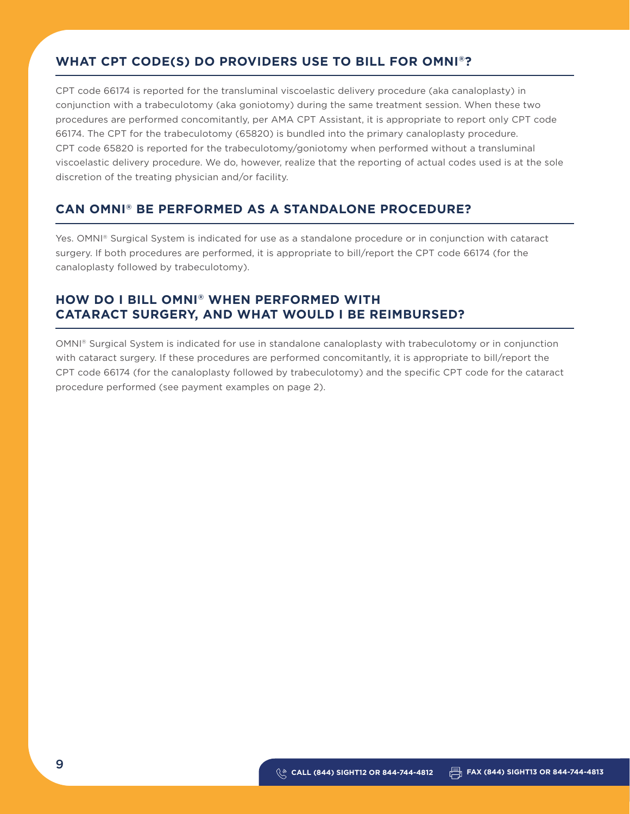### **WHAT CPT CODE(S) DO PROVIDERS USE TO BILL FOR OMNI®?**

CPT code 66174 is reported for the transluminal viscoelastic delivery procedure (aka canaloplasty) in conjunction with a trabeculotomy (aka goniotomy) during the same treatment session. When these two procedures are performed concomitantly, per AMA CPT Assistant, it is appropriate to report only CPT code 66174. The CPT for the trabeculotomy (65820) is bundled into the primary canaloplasty procedure. CPT code 65820 is reported for the trabeculotomy/goniotomy when performed without a transluminal viscoelastic delivery procedure. We do, however, realize that the reporting of actual codes used is at the sole discretion of the treating physician and/or facility.

### **CAN OMNI® BE PERFORMED AS A STANDALONE PROCEDURE?**

Yes. OMNI® Surgical System is indicated for use as a standalone procedure or in conjunction with cataract surgery. If both procedures are performed, it is appropriate to bill/report the CPT code 66174 (for the canaloplasty followed by trabeculotomy).

### **HOW DO I BILL OMNI® WHEN PERFORMED WITH CATARACT SURGERY, AND WHAT WOULD I BE REIMBURSED?**

OMNI® Surgical System is indicated for use in standalone canaloplasty with trabeculotomy or in conjunction with cataract surgery. If these procedures are performed concomitantly, it is appropriate to bill/report the CPT code 66174 (for the canaloplasty followed by trabeculotomy) and the specific CPT code for the cataract procedure performed (see payment examples on page 2).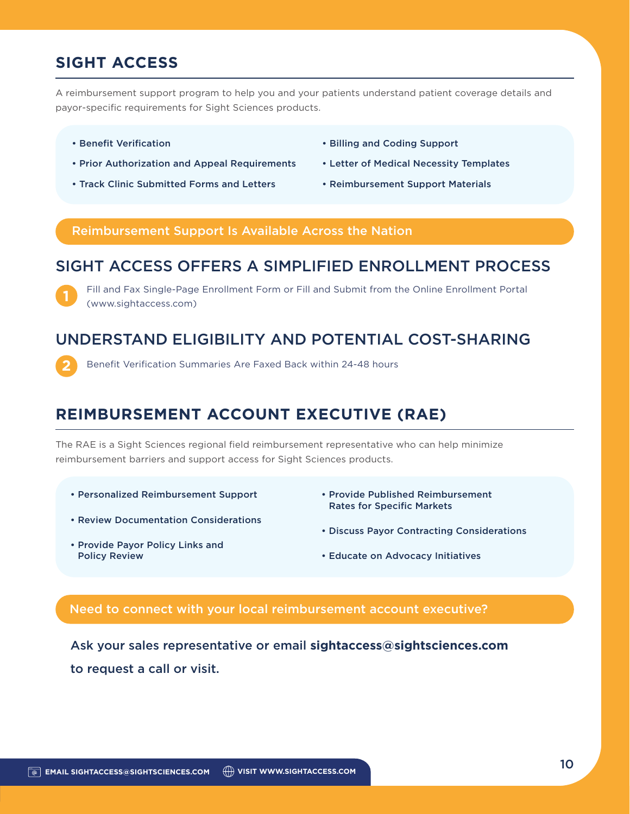## **SIGHT ACCESS**

A reimbursement support program to help you and your patients understand patient coverage details and payor-specific requirements for Sight Sciences products.

• Benefit Verification

**1**

**2**

- Prior Authorization and Appeal Requirements
- Track Clinic Submitted Forms and Letters
- Billing and Coding Support
- Letter of Medical Necessity Templates
- Reimbursement Support Materials

#### Reimbursement Support Is Available Across the Nation

### SIGHT ACCESS OFFERS A SIMPLIFIED ENROLLMENT PROCESS

Fill and Fax Single-Page Enrollment Form or Fill and Submit from the Online Enrollment Portal (www.sightaccess.com)

### UNDERSTAND ELIGIBILITY AND POTENTIAL COST-SHARING

Benefit Verification Summaries Are Faxed Back within 24-48 hours

## **REIMBURSEMENT ACCOUNT EXECUTIVE (RAE)**

The RAE is a Sight Sciences regional field reimbursement representative who can help minimize reimbursement barriers and support access for Sight Sciences products.

- Personalized Reimbursement Support
- Review Documentation Considerations
- Provide Published Reimbursement Rates for Specific Markets
- Discuss Payor Contracting Considerations

• Provide Payor Policy Links and Policy Review

• Educate on Advocacy Initiatives

### Need to connect with your local reimbursement account executive?

Ask your sales representative or email **sightaccess@sightsciences.com** to request a call or visit.